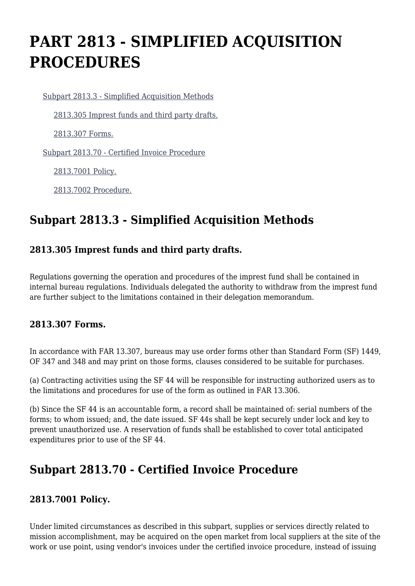# **PART 2813 - SIMPLIFIED ACQUISITION PROCEDURES**

[Subpart 2813.3 - Simplified Acquisition Methods](https://login.acquisition.gov/%5Brp:link:jar-part-2813%5D#Subpart_2813_3_T48_601162131)

[2813.305 Imprest funds and third party drafts.](https://login.acquisition.gov/%5Brp:link:jar-part-2813%5D#Section_2813_305_T48_60116213111)

[2813.307 Forms.](https://login.acquisition.gov/%5Brp:link:jar-part-2813%5D#Section_2813_307_T48_60116213112)

[Subpart 2813.70 - Certified Invoice Procedure](https://login.acquisition.gov/%5Brp:link:jar-part-2813%5D#Subpart_2813_70_T48_601162132)

[2813.7001 Policy.](https://login.acquisition.gov/%5Brp:link:jar-part-2813%5D#Section_2813_7001_T48_60116213211)

[2813.7002 Procedure.](https://login.acquisition.gov/%5Brp:link:jar-part-2813%5D#Section_2813_7002_T48_60116213212)

# **Subpart 2813.3 - Simplified Acquisition Methods**

## **2813.305 Imprest funds and third party drafts.**

Regulations governing the operation and procedures of the imprest fund shall be contained in internal bureau regulations. Individuals delegated the authority to withdraw from the imprest fund are further subject to the limitations contained in their delegation memorandum.

#### **2813.307 Forms.**

In accordance with FAR 13.307, bureaus may use order forms other than Standard Form (SF) 1449, OF 347 and 348 and may print on those forms, clauses considered to be suitable for purchases.

(a) Contracting activities using the SF 44 will be responsible for instructing authorized users as to the limitations and procedures for use of the form as outlined in FAR 13.306.

(b) Since the SF 44 is an accountable form, a record shall be maintained of: serial numbers of the forms; to whom issued; and, the date issued. SF 44s shall be kept securely under lock and key to prevent unauthorized use. A reservation of funds shall be established to cover total anticipated expenditures prior to use of the SF 44.

# **Subpart 2813.70 - Certified Invoice Procedure**

## **2813.7001 Policy.**

Under limited circumstances as described in this subpart, supplies or services directly related to mission accomplishment, may be acquired on the open market from local suppliers at the site of the work or use point, using vendor's invoices under the certified invoice procedure, instead of issuing